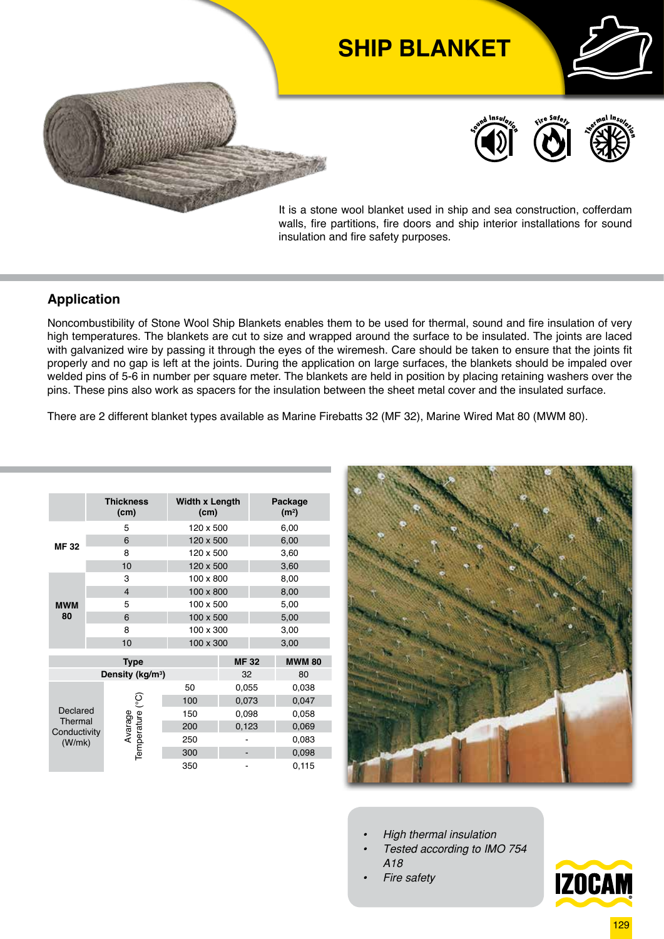

It is a stone wool blanket used in ship and sea construction, cofferdam walls, fire partitions, fire doors and ship interior installations for sound insulation and fire safety purposes.

## **Application**

Noncombustibility of Stone Wool Ship Blankets enables them to be used for thermal, sound and fire insulation of very high temperatures. The blankets are cut to size and wrapped around the surface to be insulated. The joints are laced with galvanized wire by passing it through the eyes of the wiremesh. Care should be taken to ensure that the joints fit properly and no gap is left at the joints. During the application on large surfaces, the blankets should be impaled over welded pins of 5-6 in number per square meter. The blankets are held in position by placing retaining washers over the pins. These pins also work as spacers for the insulation between the sheet metal cover and the insulated surface.

There are 2 different blanket types available as Marine Firebatts 32 (MF 32), Marine Wired Mat 80 (MWM 80).

|                                               |  | <b>Thickness</b><br>(cm)     | <b>Width x Length</b><br>(cm) |             | Package<br>(m <sup>2</sup> ) |  |  |
|-----------------------------------------------|--|------------------------------|-------------------------------|-------------|------------------------------|--|--|
| <b>MF32</b>                                   |  | 5                            | 120 x 500                     |             | 6,00                         |  |  |
|                                               |  | 6                            | 120 x 500                     |             | 6,00                         |  |  |
|                                               |  | 8                            | 120 x 500                     |             | 3,60                         |  |  |
|                                               |  | 10                           | 120 x 500                     |             | 3,60                         |  |  |
| <b>MWM</b><br>80                              |  | 3                            | 100 x 800                     |             | 8,00                         |  |  |
|                                               |  | $\overline{4}$               | 100 x 800                     |             | 8,00                         |  |  |
|                                               |  | 5                            | 100 x 500                     |             | 5,00                         |  |  |
|                                               |  | 6                            | 100 x 500                     |             | 5,00                         |  |  |
|                                               |  | 8                            | 100 x 300                     |             | 3,00                         |  |  |
|                                               |  | 10                           | 100 x 300                     |             | 3,00                         |  |  |
|                                               |  | <b>Type</b>                  |                               | <b>MF32</b> | <b>MWM 80</b>                |  |  |
|                                               |  | Density (kg/m <sup>3</sup> ) |                               | 32          | 80                           |  |  |
|                                               |  |                              | 50                            | 0,055       | 0,038                        |  |  |
| Declared<br>Thermal<br>Conductivity<br>(W/mk) |  | ၟ                            | 100                           | 0,073       | 0,047                        |  |  |
|                                               |  |                              | 150                           | 0,098       | 0,058                        |  |  |
|                                               |  | Avarage<br>Temperature (     | 200                           | 0,123       | 0,069                        |  |  |
|                                               |  |                              | 250                           |             | 0,083                        |  |  |
|                                               |  |                              | 300                           |             | 0,098                        |  |  |
|                                               |  |                              | 350                           |             | 0,115                        |  |  |



- *• High thermal insulation*
- *• Tested according to IMO 754 A18*
- *• Fire safety*